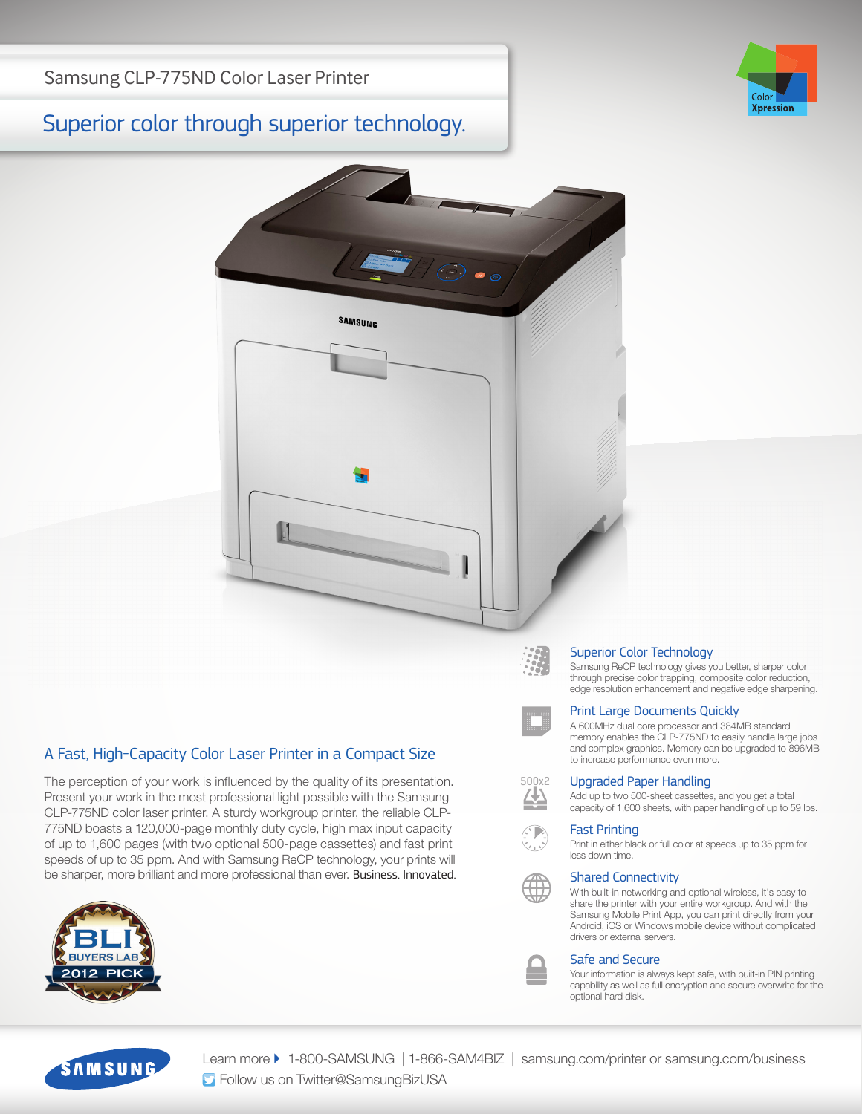# Superior color through superior technology.





## A Fast, High-Capacity Color Laser Printer in a Compact Size

The perception of your work is influenced by the quality of its presentation. Present your work in the most professional light possible with the Samsung CLP-775ND color laser printer. A sturdy workgroup printer, the reliable CLP-775ND boasts a 120,000-page monthly duty cycle, high max input capacity of up to 1,600 pages (with two optional 500-page cassettes) and fast print speeds of up to 35 ppm. And with Samsung ReCP technology, your prints will be sharper, more brilliant and more professional than ever. Business. Innovated.



**500x2**

#### Superior Color Technology

Samsung ReCP technology gives you better, sharper color through precise color trapping, composite color reduction, edge resolution enhancement and negative edge sharpening.

#### Print Large Documents Quickly

A 600MHz dual core processor and 384MB standard memory enables the CLP-775ND to easily handle large jobs and complex graphics. Memory can be upgraded to 896MB to increase performance even more.

#### Upgraded Paper Handling

Add up to two 500-sheet cassettes, and you get a total capacity of 1,600 sheets, with paper handling of up to 59 lbs.

#### Fast Printing

Print in either black or full color at speeds up to 35 ppm for less down time.

### Shared Connectivity

With built-in networking and optional wireless, it's easy to share the printer with your entire workgroup. And with the Samsung Mobile Print App, you can print directly from your Android, iOS or Windows mobile device without complicated drivers or external servers.

#### Safe and Secure

Your information is always kept safe, with built-in PIN printing capability as well as full encryption and secure overwrite for the optional hard disk.



Learn more ▶ 1-800-SAMSUNG | 1-866-SAM4BIZ | samsung.com/printer or samsung.com/business **S** Follow us on Twitter@SamsungBizUSA